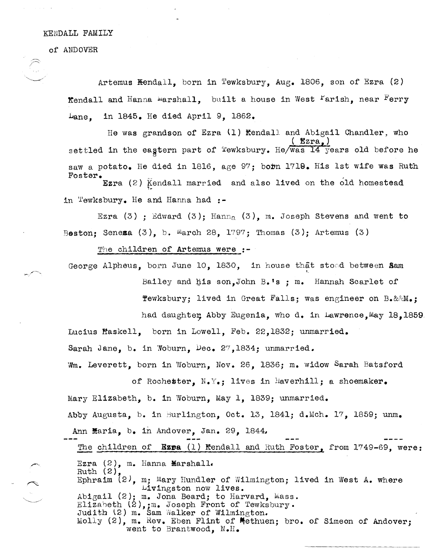## KENDALL FAMILY

of ANDOVER

Artemus  $\text{Hendall}$ , born in Tewksbury, Aug. 1806, son of Ezra (2) Kendall and Hanna Marshall, built a house in West Farish, near Ferry Lane, in 1845. He died April 9, 1862.

He was grandson of Ezra (1) Kendall and Abigail Chandler, who ( Ezra,) settled in the eagtern part of Tewksbury. He/was 14 years old before he saw a potato. He died in 1816, age 97; bobn 1719. His 1st wife was Ruth Foster.

Ezra  $(2)$  Kendall married and also lived on the old homestead in 'l'ewksbury. He and Hanna had :-

Ezra  $(3)$ ; Edward  $(3)$ ; Hann<sub>a</sub>  $(3)$ , m. Joseph Stevens and went to Beston: Seneza  $(3)$ , b. March 28, 1797; Thomas  $(3)$ ; Artemus  $(3)$ 

The children of Artemus were :-

George Alpheus, born June 10, 1830, in house that stoed between Sam

Bailey and his son, John B.1s ; m. Hannah Scarlet of **Tewksbury:** lived in Great Falls: was engineer on  $B \cdot \&\&M \bullet$ :

had daughter Abby Eugenia, who d. in Lawrence, May 18,1859 Lucius Haskell, born in Lowell, Feb. 22,1832; unmarried.

Sarah Jane, b. in Woburn, Dec. 27,1834; unmarried.

Wm. Leverett, born in Woburn, Nov. 26, 1836; m. widow Sarah Batsford

of Rochester,  $N_{\bullet}Y_{\bullet}$ ; lives in Haverhill; a shoemaker. Mary Elizabeth, b. in Woburn, May 1, 1839; unmarried. Abby Augusta, b. in Burlington, Oct. 13, 1841; d.Mch. 17, 1859; unm. Ann Maria, b. in Andover, Jan. 29, 1844,

The children of **Ezpa** (1) Kendall and Ruth Foster, from 1749-69, were: Ezra (2), m. Hanna Marshall. Ruth (2), Ephraim  $(2)$ , m; Mary Hundler of Wilmington; lived in West A. where Livingston now lives. Abigail (2); m. Jona Beard; to Harvard, Mass. Elizabeth (2),;m. Joseph Front of Tewksbury. Judith (2) m. Sam Walker of Wilmington. Molly (2), m. Rev. Eben Flint of Methuen; bro. of Simeon of Andover; went to Brantwood, N.H.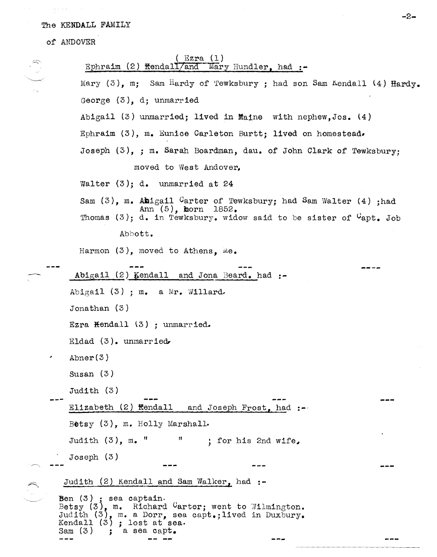## The KENDALL FAMILY

of ANDOVER

|                                                | $($ Ezra $(1)$<br>Ephraim (2) Kendall/and Mary Hundler, had $:$ -                                                                                                                                  |  |
|------------------------------------------------|----------------------------------------------------------------------------------------------------------------------------------------------------------------------------------------------------|--|
| $\begin{pmatrix} 1 & 1 \\ 1 & 1 \end{pmatrix}$ | Mary (3), m; Sam Hardy of Tewksbury; had son Sam Kendall (4) Hardy.                                                                                                                                |  |
|                                                | George $(3)$ , d; unmarried                                                                                                                                                                        |  |
|                                                | Abigail $(3)$ unmarried; lived in Maine with nephew, Jos. $(4)$                                                                                                                                    |  |
|                                                | Ephraim (3), m. Eunice Carleton Burtt; lived on homestead.                                                                                                                                         |  |
|                                                | Joseph (3), ; m. Sarah Boardman, dau. of John Clark of Tewksbury;                                                                                                                                  |  |
|                                                | moved to West Andover.                                                                                                                                                                             |  |
|                                                | Walter $(3)$ ; d. unmarried at 24                                                                                                                                                                  |  |
|                                                | Sam $(3)$ , m. Abigail Carter of Tewksbury; had Sam Walter $(4)$ ; had<br>Ann $(5)$ , horn $1852$ .<br>Thomas (3); d. in Tewksbury. widow said to be sister of "apt. Job                           |  |
|                                                | Abbott.                                                                                                                                                                                            |  |
|                                                | Harmon $(3)$ , moved to Athens, Me.                                                                                                                                                                |  |
|                                                | Abigail $(2)$ Kendall and Jona Beard. had :-                                                                                                                                                       |  |
|                                                | Abigail $(3)$ ; m. a Mr. Willard.                                                                                                                                                                  |  |
|                                                | Jonathan $(3)$                                                                                                                                                                                     |  |
|                                                | Ezra Kendall (3) ; unmarried.                                                                                                                                                                      |  |
|                                                | Eldad $(3)$ . unmarried                                                                                                                                                                            |  |
|                                                | Abner $(3)$                                                                                                                                                                                        |  |
|                                                | Susan $(3)$                                                                                                                                                                                        |  |
|                                                | Judith $(3)$                                                                                                                                                                                       |  |
|                                                | Elizabeth (2) Kendall and Joseph Frost, had :-                                                                                                                                                     |  |
|                                                | Betsy $(3)$ , m. Holly Marshall.                                                                                                                                                                   |  |
|                                                | "; for his 2nd wife,<br>Judith $(3)$ , m. $"$                                                                                                                                                      |  |
|                                                | Joseph(3)                                                                                                                                                                                          |  |
|                                                | Judith (2) Kendall and Sam Walker, had :-                                                                                                                                                          |  |
|                                                | Ben $(3)$ ; sea captain.<br>Betsy $(3)$ , m. Richard Carter; went to Wilmington.<br>Judith (3), m. a Dorr, sea capt.; lived in Duxbury.<br>Kendall $(3)$ ; lost at sea.<br>Sam $(3)$ ; a sea capt. |  |
|                                                |                                                                                                                                                                                                    |  |

 $-2-$